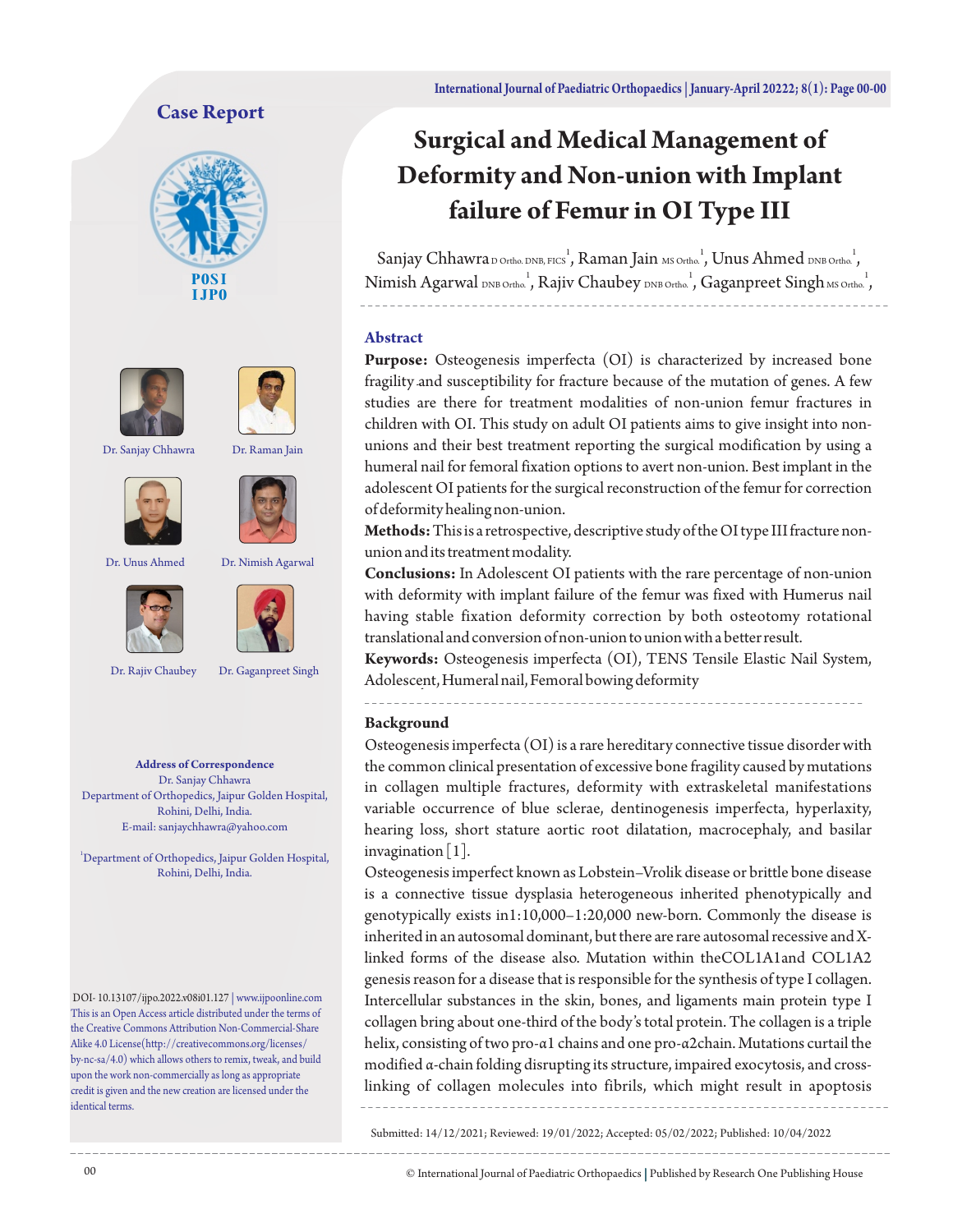## **Case Report**







Dr. Sanjay Chhawra Dr. Raman Jain









Dr. Rajiv Chaubey Dr. Gaganpreet Singh

**Address of Correspondence** Dr. Sanjay Chhawra Department of Orthopedics, Jaipur Golden Hospital, Rohini, Delhi, India. E-mail: sanjaychhawra@yahoo.com

<sup>1</sup>Department of Orthopedics, Jaipur Golden Hospital, Rohini, Delhi, India.

DOI- 10.13107/ijpo.2022.v08i01.127 | www.ijpoonline.com This is an Open Access article distributed under the terms of the Creative Commons Attribution Non-Commercial-Share Alike 4.0 License(http://creativecommons.org/licenses/ by-nc-sa/4.0) which allows others to remix, tweak, and build upon the work non-commercially as long as appropriate credit is given and the new creation are licensed under the identical terms.

# **Surgical and Medical Management of Deformity and Non-union with Implant failure of Femur in OI Type III**

Sanjay Chhawra D Ortho. DNB, FICS , Raman Jain MS Ortho. , Unus Ahmed DNB Ortho. , Nimish Agarwal DNB Ortho., Rajiv Chaubey DNB Ortho., Gaganpreet Singh MS Ortho.,

#### **Abstract**

Purpose: Osteogenesis imperfecta (OI) is characterized by increased bone fragility and susceptibility for fracture because of the mutation of genes. A few studies are there for treatment modalities of non-union femur fractures in children with OI. This study on adult OI patients aims to give insight into nonunions and their best treatment reporting the surgical modification by using a humeral nail for femoral fixation options to avert non-union. Best implant in the adolescent OI patients for the surgical reconstruction of the femur for correction of deformity healing non-union.

**Methods:**This is a retrospective, descriptive study of the OI type III fracture nonunion and its treatment modality.

**Conclusions:** In Adolescent OI patients with the rare percentage of non-union with deformity with implant failure of the femur was fixed with Humerus nail having stable fixation deformity correction by both osteotomy rotational translational and conversion of non-union to union with a better result.

**Keywords:** Osteogenesis imperfecta (OI), TENS Tensile Elastic Nail System, Adolescent, Humeral nail, Femoral bowing deformity

#### **Background**

Osteogenesis imperfecta (OI) is a rare hereditary connective tissue disorder with the common clinical presentation of excessive bone fragility caused by mutations in collagen multiple fractures, deformity with extraskeletal manifestations variable occurrence of blue sclerae, dentinogenesis imperfecta, hyperlaxity, hearing loss, short stature aortic root dilatation, macrocephaly, and basilar invagination  $\lceil 1 \rceil$ .

Osteogenesis imperfect known as Lobstein–Vrolik disease or brittle bone disease is a connective tissue dysplasia heterogeneous inherited phenotypically and genotypically exists in1:10,000–1:20,000 new-born. Commonly the disease is inherited in an autosomal dominant, but there are rare autosomal recessive and Xlinked forms of the disease also. Mutation within theCOL1A1and COL1A2 genesis reason for a disease that is responsible for the synthesis of type I collagen. Intercellular substances in the skin, bones, and ligaments main protein type I collagen bring about one-third of the body's total protein. The collagen is a triple helix, consisting of two pro-α1 chains and one pro-α2chain. Mutations curtail the modified α-chain folding disrupting its structure, impaired exocytosis, and crosslinking of collagen molecules into fibrils, which might result in apoptosis

Submitted: 14/12/2021; Reviewed: 19/01/2022; Accepted: 05/02/2022; Published: 10/04/2022

© International Journal of Paediatric Orthopaedics | Published by Research One Publishing House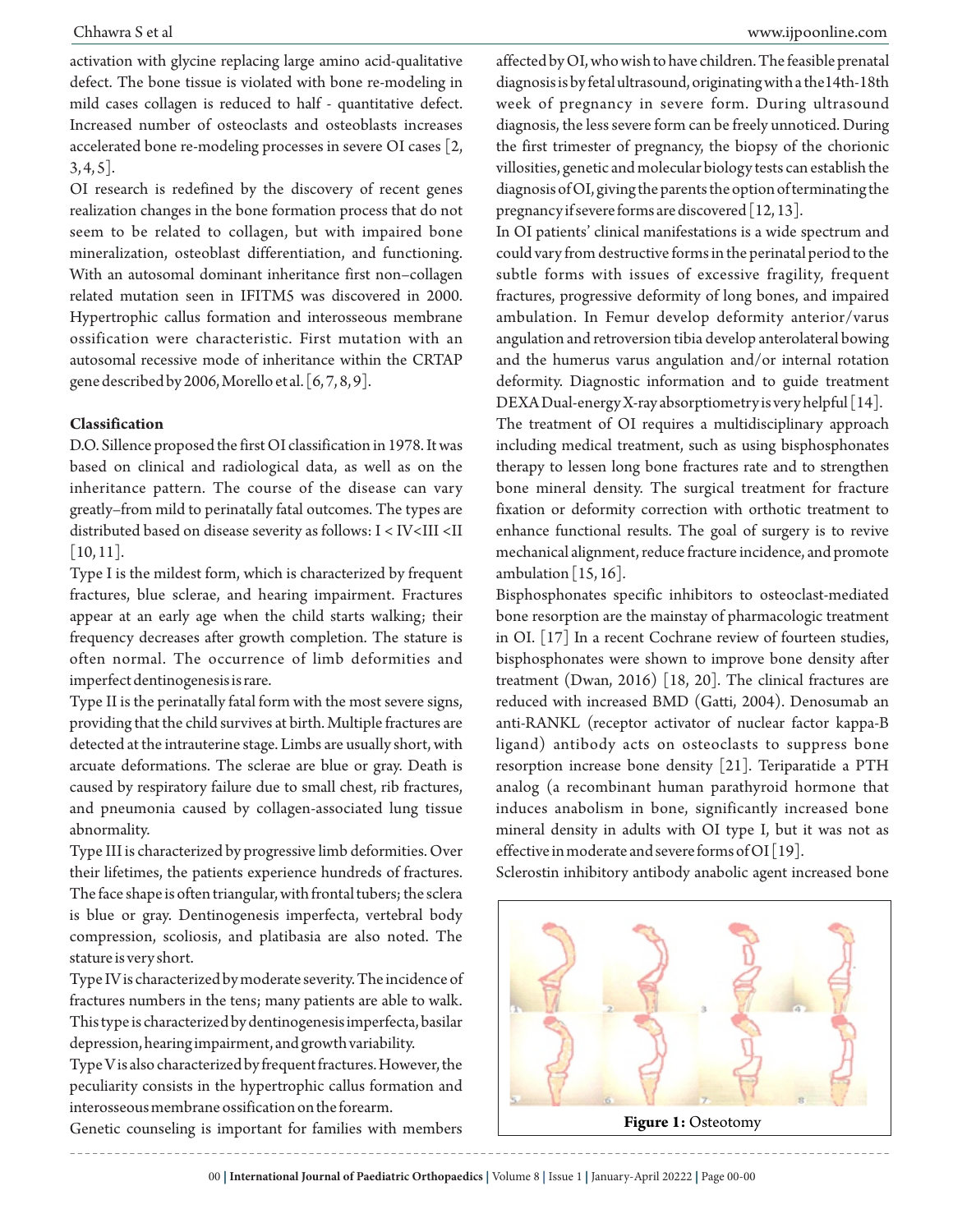activation with glycine replacing large amino acid-qualitative defect. The bone tissue is violated with bone re-modeling in mild cases collagen is reduced to half - quantitative defect. Increased number of osteoclasts and osteoblasts increases accelerated bone re-modeling processes in severe OI cases [2,  $3, 4, 5$ ].

OI research is redefined by the discovery of recent genes realization changes in the bone formation process that do not seem to be related to collagen, but with impaired bone mineralization, osteoblast differentiation, and functioning. With an autosomal dominant inheritance first non–collagen related mutation seen in IFITM5 was discovered in 2000. Hypertrophic callus formation and interosseous membrane ossification were characteristic. First mutation with an autosomal recessive mode of inheritance within the CRTAP gene described by 2006, Morello et al. [6, 7, 8, 9].

#### **Classification**

D.O. Sillence proposed the first OI classification in 1978. It was based on clinical and radiological data, as well as on the inheritance pattern. The course of the disease can vary greatly–from mild to perinatally fatal outcomes. The types are distributed based on disease severity as follows: I < IV<III <II  $|10, 11|$ .

Type I is the mildest form, which is characterized by frequent fractures, blue sclerae, and hearing impairment. Fractures appear at an early age when the child starts walking; their frequency decreases after growth completion. The stature is often normal. The occurrence of limb deformities and imperfect dentinogenesis is rare.

Type II is the perinatally fatal form with the most severe signs, providing that the child survives at birth. Multiple fractures are detected at the intrauterine stage. Limbs are usually short, with arcuate deformations. The sclerae are blue or gray. Death is caused by respiratory failure due to small chest, rib fractures, and pneumonia caused by collagen-associated lung tissue abnormality.

Type III is characterized by progressive limb deformities. Over their lifetimes, the patients experience hundreds of fractures. The face shape is often triangular, with frontal tubers; the sclera is blue or gray. Dentinogenesis imperfecta, vertebral body compression, scoliosis, and platibasia are also noted. The stature is very short.

Type IV is characterized by moderate severity. The incidence of fractures numbers in the tens; many patients are able to walk. This type is characterized by dentinogenesis imperfecta, basilar depression, hearing impairment, and growth variability.

Type V is also characterized by frequent fractures. However, the peculiarity consists in the hypertrophic callus formation and interosseous membrane ossification on the forearm.

Genetic counseling is important for families with members

affected by OI, who wish to have children. The feasible prenatal diagnosis is by fetal ultrasound, originating with a the14th-18th week of pregnancy in severe form. During ultrasound diagnosis, the less severe form can be freely unnoticed. During the first trimester of pregnancy, the biopsy of the chorionic villosities, genetic and molecular biology tests can establish the diagnosis of OI, giving the parents the option of terminating the pregnancy if severe forms are discovered  $[12, 13]$ .

In OI patients' clinical manifestations is a wide spectrum and could vary from destructive forms in the perinatal period to the subtle forms with issues of excessive fragility, frequent fractures, progressive deformity of long bones, and impaired ambulation. In Femur develop deformity anterior/varus angulation and retroversion tibia develop anterolateral bowing and the humerus varus angulation and/or internal rotation deformity. Diagnostic information and to guide treatment DEXA Dual-energy X-ray absorptiometry is very helpful [14].

The treatment of OI requires a multidisciplinary approach including medical treatment, such as using bisphosphonates therapy to lessen long bone fractures rate and to strengthen bone mineral density. The surgical treatment for fracture fixation or deformity correction with orthotic treatment to enhance functional results. The goal of surgery is to revive mechanical alignment, reduce fracture incidence, and promote ambulation  $[15, 16]$ .

Bisphosphonates specific inhibitors to osteoclast-mediated bone resorption are the mainstay of pharmacologic treatment in OI. [17] In a recent Cochrane review of fourteen studies, bisphosphonates were shown to improve bone density after treatment (Dwan, 2016) [18, 20]. The clinical fractures are reduced with increased BMD (Gatti, 2004). Denosumab an anti-RANKL (receptor activator of nuclear factor kappa-B ligand) antibody acts on osteoclasts to suppress bone resorption increase bone density [21]. Teriparatide a PTH analog (a recombinant human parathyroid hormone that induces anabolism in bone, significantly increased bone mineral density in adults with OI type I, but it was not as effective in moderate and severe forms of OI [19].

Sclerostin inhibitory antibody anabolic agent increased bone



**Figure 1:** Osteotomy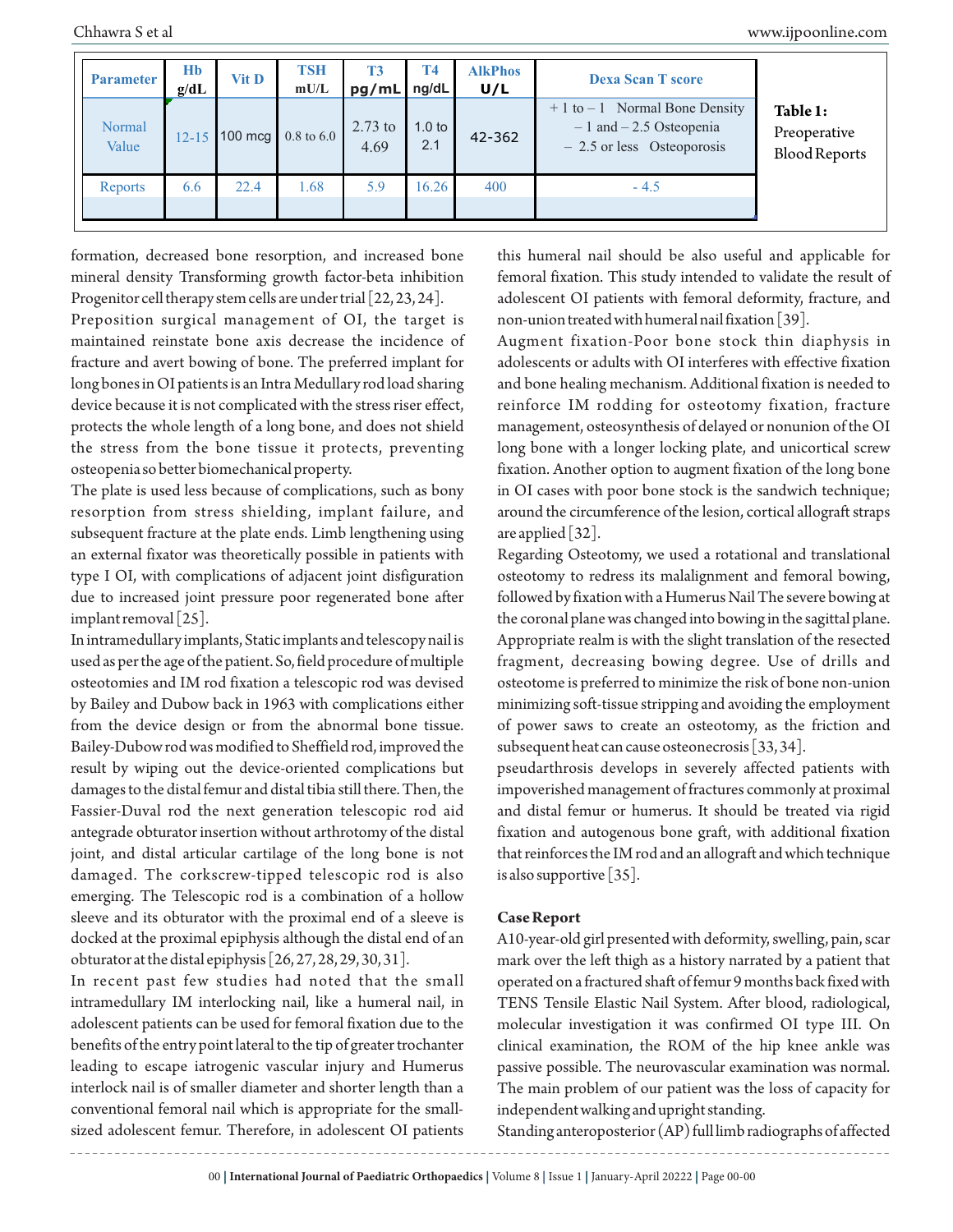| <b>Parameter</b> | <b>H<sub>b</sub></b><br>g/dL | <b>Vit D</b> | <b>TSH</b><br>mU/L            | <b>T3</b><br>pg/mL | <b>T4</b><br>ng/dL       | <b>AlkPhos</b><br>U/L | <b>Dexa Scan T score</b>                                                                      |                                                  |
|------------------|------------------------------|--------------|-------------------------------|--------------------|--------------------------|-----------------------|-----------------------------------------------------------------------------------------------|--------------------------------------------------|
| Normal<br>Value  | $12 - 15$                    |              | 100 mcg $0.8 \text{ to } 6.0$ | $2.73$ to<br>4.69  | 1.0 <sub>to</sub><br>2.1 | 42-362                | $+1$ to $-1$ Normal Bone Density<br>$-1$ and $-2.5$ Osteopenia<br>$-2.5$ or less Osteoporosis | Table 1:<br>Preoperative<br><b>Blood Reports</b> |
| Reports          | 6.6                          | 22.4         | 1.68                          | 5.9                | 16.26                    | 400                   | $-4.5$                                                                                        |                                                  |

formation, decreased bone resorption, and increased bone mineral density Transforming growth factor-beta inhibition Progenitor cell therapy stem cells are under trial [22, 23, 24].

Preposition surgical management of OI, the target is maintained reinstate bone axis decrease the incidence of fracture and avert bowing of bone. The preferred implant for long bones in OI patients is an Intra Medullary rod load sharing device because it is not complicated with the stress riser effect, protects the whole length of a long bone, and does not shield the stress from the bone tissue it protects, preventing osteopenia so better biomechanical property.

The plate is used less because of complications, such as bony resorption from stress shielding, implant failure, and subsequent fracture at the plate ends. Limb lengthening using an external fixator was theoretically possible in patients with type I OI, with complications of adjacent joint disfiguration due to increased joint pressure poor regenerated bone after implant removal [25].

In intramedullary implants, Static implants and telescopy nail is used as per the age of the patient. So, field procedure of multiple osteotomies and IM rod fixation a telescopic rod was devised by Bailey and Dubow back in 1963 with complications either from the device design or from the abnormal bone tissue. Bailey-Dubow rod was modified to Sheffield rod, improved the result by wiping out the device-oriented complications but damages to the distal femur and distal tibia still there. Then, the Fassier-Duval rod the next generation telescopic rod aid antegrade obturator insertion without arthrotomy of the distal joint, and distal articular cartilage of the long bone is not damaged. The corkscrew-tipped telescopic rod is also emerging. The Telescopic rod is a combination of a hollow sleeve and its obturator with the proximal end of a sleeve is docked at the proximal epiphysis although the distal end of an obturator at the distal epiphysis [26, 27, 28, 29, 30, 31].

In recent past few studies had noted that the small intramedullary IM interlocking nail, like a humeral nail, in adolescent patients can be used for femoral fixation due to the benefits of the entry point lateral to the tip of greater trochanter leading to escape iatrogenic vascular injury and Humerus interlock nail is of smaller diameter and shorter length than a conventional femoral nail which is appropriate for the smallsized adolescent femur. Therefore, in adolescent OI patients

this humeral nail should be also useful and applicable for femoral fixation. This study intended to validate the result of adolescent OI patients with femoral deformity, fracture, and non-union treated with humeral nail fixation [39].

Augment fixation-Poor bone stock thin diaphysis in adolescents or adults with OI interferes with effective fixation and bone healing mechanism. Additional fixation is needed to reinforce IM rodding for osteotomy fixation, fracture management, osteosynthesis of delayed or nonunion of the OI long bone with a longer locking plate, and unicortical screw fixation. Another option to augment fixation of the long bone in OI cases with poor bone stock is the sandwich technique; around the circumference of the lesion, cortical allograft straps are applied [32].

Regarding Osteotomy, we used a rotational and translational osteotomy to redress its malalignment and femoral bowing, followed by fixation with a Humerus Nail The severe bowing at the coronal plane was changed into bowing in the sagittal plane. Appropriate realm is with the slight translation of the resected fragment, decreasing bowing degree. Use of drills and osteotome is preferred to minimize the risk of bone non-union minimizing soft-tissue stripping and avoiding the employment of power saws to create an osteotomy, as the friction and subsequent heat can cause osteonecrosis [33, 34].

pseudarthrosis develops in severely affected patients with impoverished management of fractures commonly at proximal and distal femur or humerus. It should be treated via rigid fixation and autogenous bone graft, with additional fixation that reinforces the IM rod and an allograft and which technique is also supportive [35].

#### **Case Report**

A10-year-old girl presented with deformity, swelling, pain, scar mark over the left thigh as a history narrated by a patient that operated on a fractured shaft of femur 9 months back fixed with TENS Tensile Elastic Nail System. After blood, radiological, molecular investigation it was confirmed OI type III. On clinical examination, the ROM of the hip knee ankle was passive possible. The neurovascular examination was normal. The main problem of our patient was the loss of capacity for independent walking and upright standing.

Standing anteroposterior (AP) full limb radiographs of affected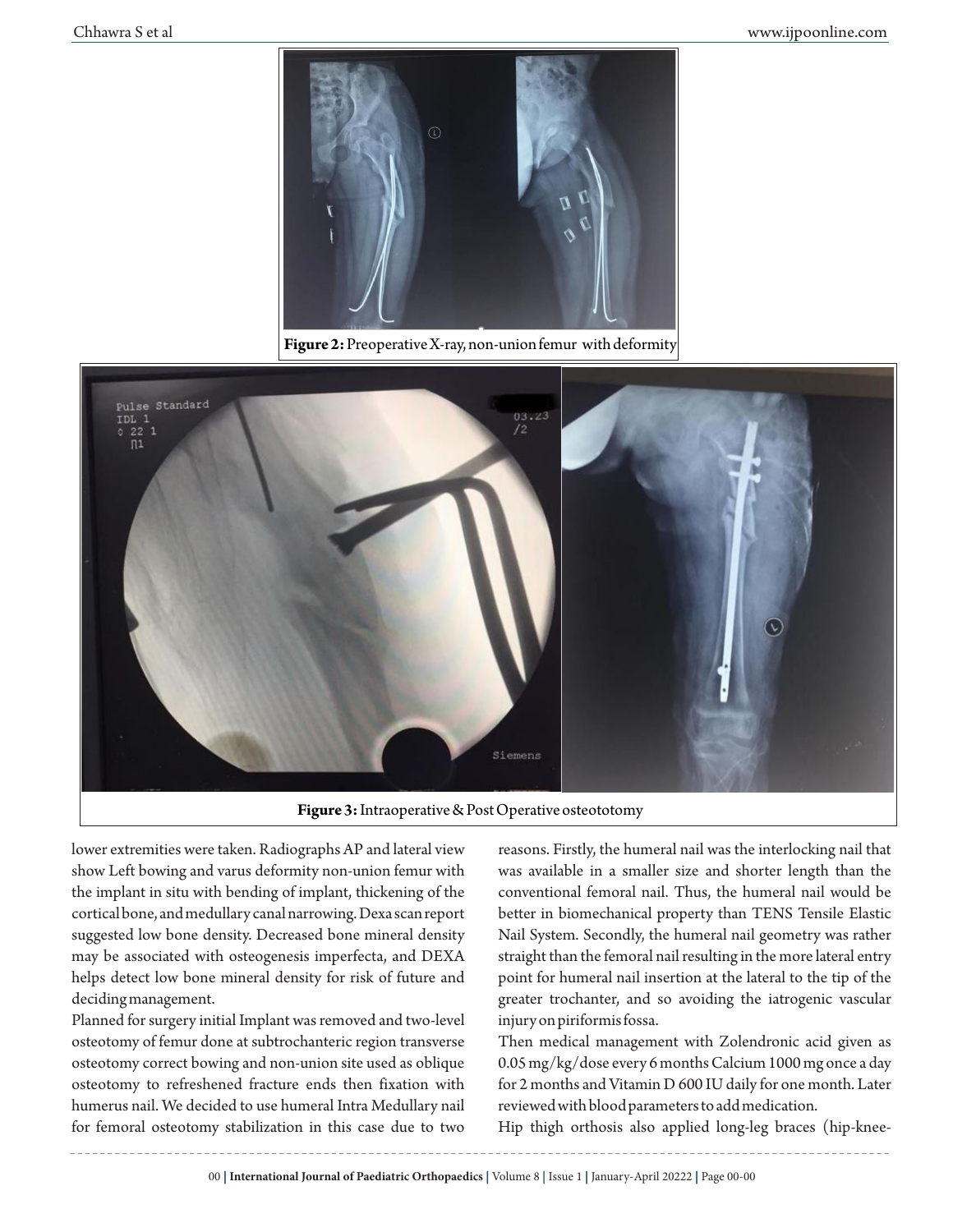

**Figure 2:**Preoperative X-ray, non-union femur with deformity



**Figure 3:**Intraoperative & Post Operative osteototomy

lower extremities were taken. Radiographs AP and lateral view show Left bowing and varus deformity non-union femur with the implant in situ with bending of implant, thickening of the cortical bone, and medullary canal narrowing. Dexa scan report suggested low bone density. Decreased bone mineral density may be associated with osteogenesis imperfecta, and DEXA helps detect low bone mineral density for risk of future and deciding management.

Planned for surgery initial Implant was removed and two-level osteotomy of femur done at subtrochanteric region transverse osteotomy correct bowing and non-union site used as oblique osteotomy to refreshened fracture ends then fixation with humerus nail. We decided to use humeral Intra Medullary nail for femoral osteotomy stabilization in this case due to two

reasons. Firstly, the humeral nail was the interlocking nail that was available in a smaller size and shorter length than the conventional femoral nail. Thus, the humeral nail would be better in biomechanical property than TENS Tensile Elastic Nail System. Secondly, the humeral nail geometry was rather straight than the femoral nail resulting in the more lateral entry point for humeral nail insertion at the lateral to the tip of the greater trochanter, and so avoiding the iatrogenic vascular injury on piriformis fossa.

Then medical management with Zolendronic acid given as 0.05 mg/kg/dose every 6 months Calcium 1000 mg once a day for 2 months and Vitamin D 600 IU daily for one month. Later reviewed with blood parameters to add medication.

Hip thigh orthosis also applied long-leg braces (hip-knee-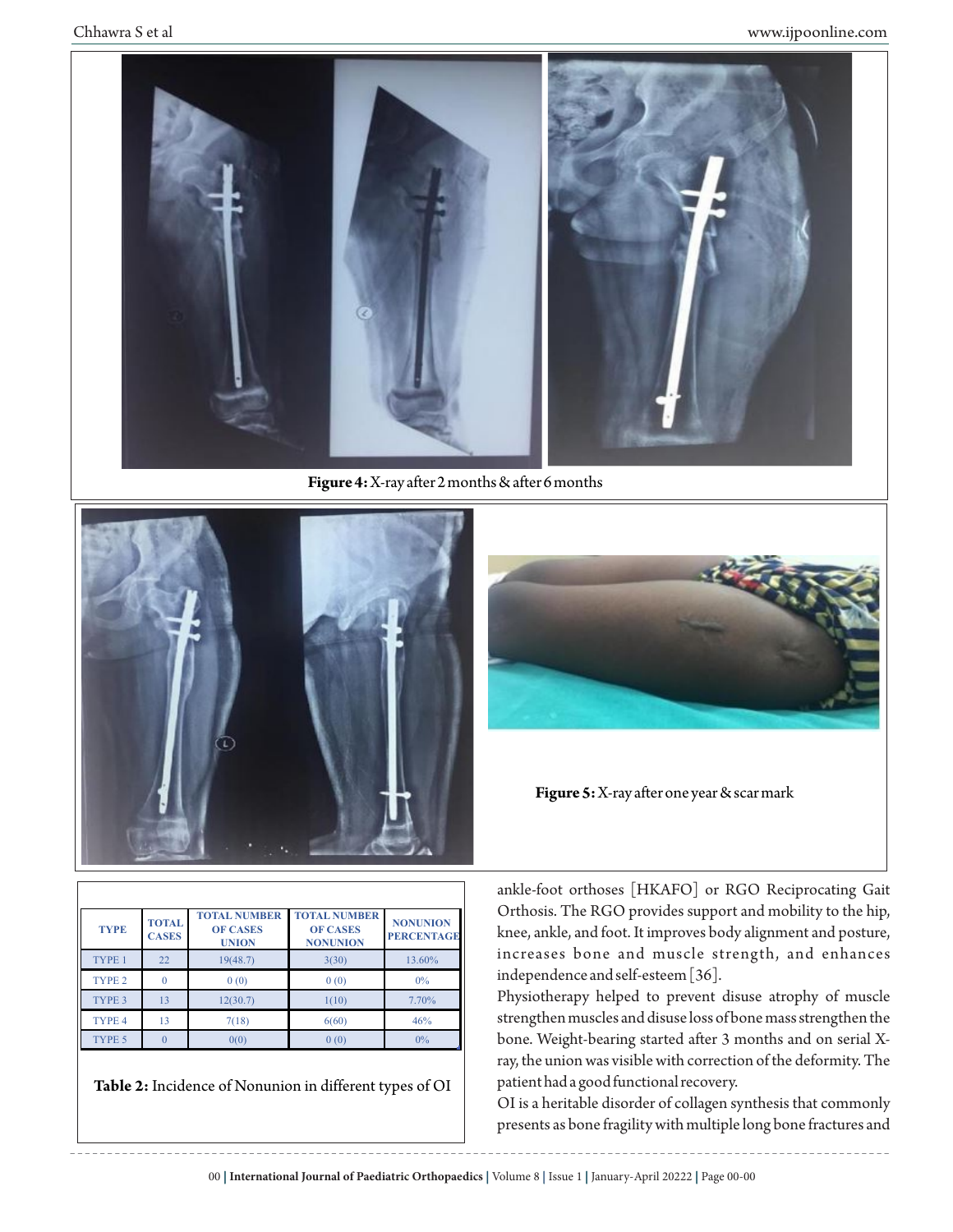

**Figure 4:** X-ray after 2 months & after 6 months



| <b>TYPE</b>       | <b>TOTAL</b><br><b>CASES</b> | <b>TOTAL NUMBER</b><br><b>OF CASES</b><br><b>UNION</b> | <b>TOTAL NUMBER</b><br><b>OF CASES</b><br><b>NONUNION</b> | <b>NONUNION</b><br><b>PERCENTAGE</b> |
|-------------------|------------------------------|--------------------------------------------------------|-----------------------------------------------------------|--------------------------------------|
| TYPE 1            | 22                           | 19(48.7)                                               | 3(30)                                                     | 13.60%                               |
| TYPE <sub>2</sub> |                              | 0(0)                                                   | 0(0)                                                      | 0%                                   |
| TYPE 3            | 13                           | 12(30.7)                                               | 1(10)                                                     | 7.70%                                |
| TYPE <sub>4</sub> | 13                           | 7(18)                                                  | 6(60)                                                     | 46%                                  |
| TYPE 5            |                              | 0(0)                                                   | 0(0)                                                      | 0%                                   |

**Table 2:** Incidence of Nonunion in different types of OI



**Figure 5:** X-ray after one year & scar mark

ankle-foot orthoses [HKAFO] or RGO Reciprocating Gait Orthosis. The RGO provides support and mobility to the hip, knee, ankle, and foot. It improves body alignment and posture, increases bone and muscle strength, and enhances independence and self-esteem [36].

Physiotherapy helped to prevent disuse atrophy of muscle strengthen muscles and disuse loss of bone mass strengthen the bone. Weight-bearing started after 3 months and on serial Xray, the union was visible with correction of the deformity. The patient had a good functional recovery.

OI is a heritable disorder of collagen synthesis that commonly presents as bone fragility with multiple long bone fractures and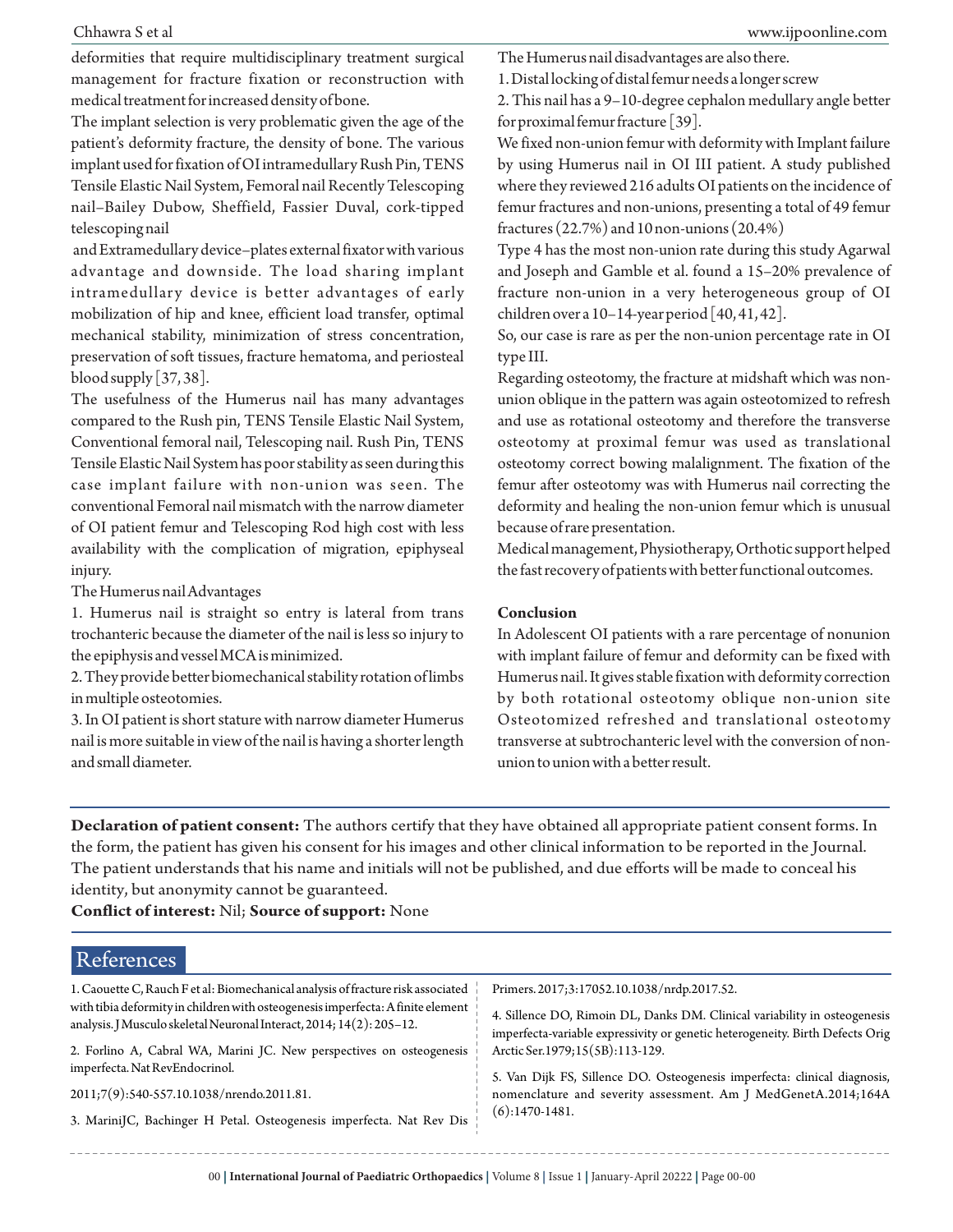deformities that require multidisciplinary treatment surgical management for fracture fixation or reconstruction with medical treatment for increased density of bone.

The implant selection is very problematic given the age of the patient's deformity fracture, the density of bone. The various implant used for fixation of OI intramedullary Rush Pin, TENS Tensile Elastic Nail System, Femoral nail Recently Telescoping nail–Bailey Dubow, Sheffield, Fassier Duval, cork-tipped telescoping nail

and Extramedullary device–plates external fixator with various advantage and downside. The load sharing implant intramedullary device is better advantages of early mobilization of hip and knee, efficient load transfer, optimal mechanical stability, minimization of stress concentration, preservation of soft tissues, fracture hematoma, and periosteal blood supply  $\left[37,38\right]$ .

The usefulness of the Humerus nail has many advantages compared to the Rush pin, TENS Tensile Elastic Nail System, Conventional femoral nail, Telescoping nail. Rush Pin, TENS Tensile Elastic Nail System has poor stability as seen during this case implant failure with non-union was seen. The conventional Femoral nail mismatch with the narrow diameter of OI patient femur and Telescoping Rod high cost with less availability with the complication of migration, epiphyseal injury.

The Humerus nail Advantages

1. Humerus nail is straight so entry is lateral from trans trochanteric because the diameter of the nail is less so injury to the epiphysis and vessel MCA is minimized.

2. They provide better biomechanical stability rotation of limbs in multiple osteotomies.

3. In OI patient is short stature with narrow diameter Humerus nail is more suitable in view of the nail is having a shorter length and small diameter.

The Humerus nail disadvantages are also there.

1. Distal locking of distal femur needs a longer screw

2. This nail has a 9–10-degree cephalon medullary angle better for proximal femur fracture [39].

We fixed non-union femur with deformity with Implant failure by using Humerus nail in OI III patient. A study published where they reviewed 216 adults OI patients on the incidence of femur fractures and non-unions, presenting a total of 49 femur fractures (22.7%) and 10 non-unions (20.4%)

Type 4 has the most non-union rate during this study Agarwal and Joseph and Gamble et al. found a 15–20% prevalence of fracture non-union in a very heterogeneous group of OI children over a 10–14-year period [40, 41, 42].

So, our case is rare as per the non-union percentage rate in OI type III.

Regarding osteotomy, the fracture at midshaft which was nonunion oblique in the pattern was again osteotomized to refresh and use as rotational osteotomy and therefore the transverse osteotomy at proximal femur was used as translational osteotomy correct bowing malalignment. The fixation of the femur after osteotomy was with Humerus nail correcting the deformity and healing the non-union femur which is unusual because of rare presentation.

Medical management, Physiotherapy, Orthotic support helped the fast recovery of patients with better functional outcomes.

#### **Conclusion**

In Adolescent OI patients with a rare percentage of nonunion with implant failure of femur and deformity can be fixed with Humerus nail. It gives stable fixation with deformity correction by both rotational osteotomy oblique non-union site Osteotomized refreshed and translational osteotomy transverse at subtrochanteric level with the conversion of nonunion to union with a better result.

**Declaration of patient consent:** The authors certify that they have obtained all appropriate patient consent forms. In the form, the patient has given his consent for his images and other clinical information to be reported in the Journal. The patient understands that his name and initials will not be published, and due efforts will be made to conceal his identity, but anonymity cannot be guaranteed.

**Conflict of interest:** Nil; **Source of support:** None

#### 1. Caouette C, Rauch F et al: Biomechanical analysis of fracture risk associated with tibia deformity in children with osteogenesis imperfecta: A finite element analysis. J Musculo skeletal Neuronal Interact, 2014; 14(2): 205–12. 2. Forlino A, Cabral WA, Marini JC. New perspectives on osteogenesis imperfecta. Nat RevEndocrinol. 2011;7(9):540-557.10.1038/nrendo.2011.81. 3. MariniJC, Bachinger H Petal. Osteogenesis imperfecta. Nat Rev Dis Primers. 2017;3:17052.10.1038/nrdp.2017.52. 4. Sillence DO, Rimoin DL, Danks DM. Clinical variability in osteogenesis imperfecta-variable expressivity or genetic heterogeneity. Birth Defects Orig Arctic Ser.1979;15(5B):113-129. 5. Van Dijk FS, Sillence DO. Osteogenesis imperfecta: clinical diagnosis, nomenclature and severity assessment. Am J MedGenetA.2014;164A (6):1470-1481. References

00 | **International Journal of Paediatric Orthopaedics** | Volume 8 | Issue 1 | January-April 20222 | Page 00-00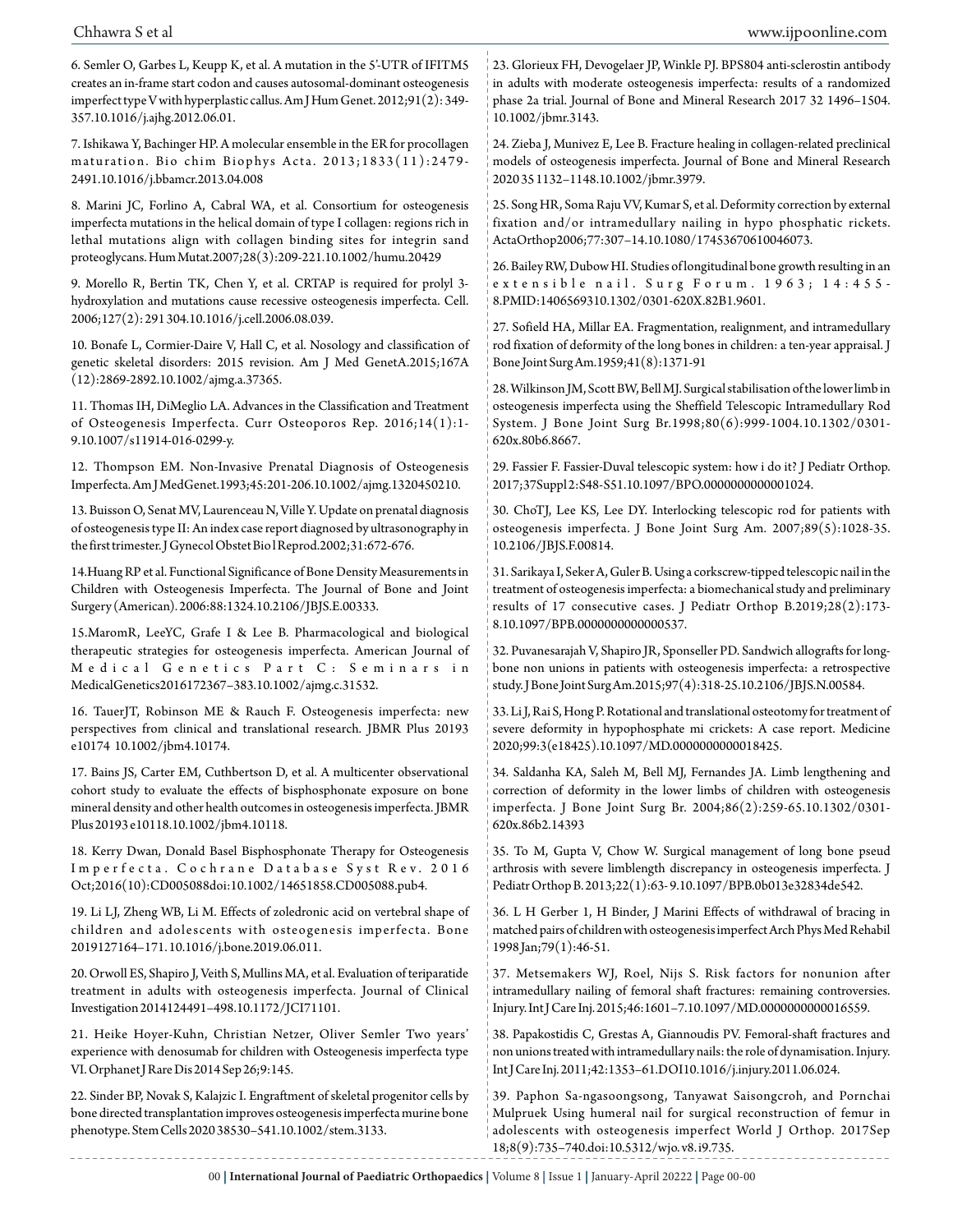6. Semler O, Garbes L, Keupp K, et al. A mutation in the 5'-UTR of IFITM5 creates an in-frame start codon and causes autosomal-dominant osteogenesis imperfect type V with hyperplastic callus. Am J Hum Genet. 2012;91(2): 349- 357.10.1016/j.ajhg.2012.06.01.

7. Ishikawa Y, Bachinger HP. A molecular ensemble in the ER for procollagen maturation. Bio chim Biophys Acta. 2013;1833(11):2479-2491.10.1016/j.bbamcr.2013.04.008

8. Marini JC, Forlino A, Cabral WA, et al. Consortium for osteogenesis imperfecta mutations in the helical domain of type I collagen: regions rich in lethal mutations align with collagen binding sites for integrin sand proteoglycans. Hum Mutat.2007;28(3):209-221.10.1002/humu.20429

9. Morello R, Bertin TK, Chen Y, et al. CRTAP is required for prolyl 3 hydroxylation and mutations cause recessive osteogenesis imperfecta. Cell. 2006;127(2): 291 304.10.1016/j.cell.2006.08.039.

10. Bonafe L, Cormier-Daire V, Hall C, et al. Nosology and classification of genetic skeletal disorders: 2015 revision. Am J Med GenetA.2015;167A (12):2869-2892.10.1002/ajmg.a.37365.

11. Thomas IH, DiMeglio LA. Advances in the Classification and Treatment of Osteogenesis Imperfecta. Curr Osteoporos Rep. 2016;14(1):1- 9.10.1007/s11914-016-0299-y.

12. Thompson EM. Non-Invasive Prenatal Diagnosis of Osteogenesis Imperfecta. Am J MedGenet.1993;45:201-206.10.1002/ajmg.1320450210.

13. Buisson O, Senat MV, Laurenceau N, Ville Y. Update on prenatal diagnosis of osteogenesis type II: An index case report diagnosed by ultrasonography in the first trimester. J Gynecol Obstet Bio l Reprod.2002;31:672-676.

14.Huang RP et al. Functional Significance of Bone Density Measurements in Children with Osteogenesis Imperfecta. The Journal of Bone and Joint Surgery (American). 2006:88:1324.10.2106/JBJS.E.00333.

15.MaromR, LeeYC, Grafe I & Lee B. Pharmacological and biological therapeutic strategies for osteogenesis imperfecta. American Journal of Medical Genetics Part C: Seminars in MedicalGenetics2016172367–383.10.1002/ajmg.c.31532.

16. TauerJT, Robinson ME & Rauch F. Osteogenesis imperfecta: new perspectives from clinical and translational research. JBMR Plus 20193 e10174 10.1002/jbm4.10174.

17. Bains JS, Carter EM, Cuthbertson D, et al. A multicenter observational cohort study to evaluate the effects of bisphosphonate exposure on bone mineral density and other health outcomes in osteogenesis imperfecta. JBMR Plus 20193 e10118.10.1002/jbm4.10118.

18. Kerry Dwan, Donald Basel Bisphosphonate Therapy for Osteogenesis Imperfecta. Cochrane Database Syst Rev. 2016 Oct;2016(10):CD005088doi:10.1002/14651858.CD005088.pub4.

19. Li LJ, Zheng WB, Li M. Effects of zoledronic acid on vertebral shape of children and adolescents with osteogenesis imperfecta. Bone 2019127164–171. 10.1016/j.bone.2019.06.011.

20. Orwoll ES, Shapiro J, Veith S, Mullins MA, et al. Evaluation of teriparatide treatment in adults with osteogenesis imperfecta. Journal of Clinical Investigation 2014124491–498.10.1172/JCI71101.

21. Heike Hoyer-Kuhn, Christian Netzer, Oliver Semler Two years' experience with denosumab for children with Osteogenesis imperfecta type VI. Orphanet J Rare Dis 2014 Sep 26;9:145.

22. Sinder BP, Novak S, Kalajzic I. Engraftment of skeletal progenitor cells by bone directed transplantation improves osteogenesis imperfecta murine bone phenotype. Stem Cells 2020 38530–541.10.1002/stem.3133.

23. Glorieux FH, Devogelaer JP, Winkle PJ. BPS804 anti-sclerostin antibody in adults with moderate osteogenesis imperfecta: results of a randomized phase 2a trial. Journal of Bone and Mineral Research 2017 32 1496–1504. 10.1002/jbmr.3143.

24. Zieba J, Munivez E, Lee B. Fracture healing in collagen-related preclinical models of osteogenesis imperfecta. Journal of Bone and Mineral Research 2020 35 1132–1148.10.1002/jbmr.3979.

25. Song HR, Soma Raju VV, Kumar S, et al. Deformity correction by external fixation and/or intramedullary nailing in hypo phosphatic rickets. ActaOrthop2006;77:307–14.10.1080/17453670610046073.

26. Bailey RW, Dubow HI. Studies of longitudinal bone growth resulting in an extensible nail. Surg Forum. 1963; 14:455-8.PMID:1406569310.1302/0301-620X.82B1.9601.

27. Sofield HA, Millar EA. Fragmentation, realignment, and intramedullary rod fixation of deformity of the long bones in children: a ten-year appraisal. J Bone Joint Surg Am.1959;41(8):1371-91

28. Wilkinson JM, Scott BW, Bell MJ. Surgical stabilisation of the lower limb in osteogenesis imperfecta using the Sheffield Telescopic Intramedullary Rod System. J Bone Joint Surg Br.1998;80(6):999-1004.10.1302/0301- 620x.80b6.8667.

29. Fassier F. Fassier-Duval telescopic system: how i do it? J Pediatr Orthop. 2017;37Suppl 2:S48-S51.10.1097/BPO.0000000000001024.

30. ChoTJ, Lee KS, Lee DY. Interlocking telescopic rod for patients with osteogenesis imperfecta. J Bone Joint Surg Am. 2007;89(5):1028-35. 10.2106/JBJS.F.00814.

31. Sarikaya I, Seker A, Guler B. Using a corkscrew-tipped telescopic nail in the treatment of osteogenesis imperfecta: a biomechanical study and preliminary results of 17 consecutive cases. J Pediatr Orthop B.2019;28(2):173- 8.10.1097/BPB.0000000000000537.

32. Puvanesarajah V, Shapiro JR, Sponseller PD. Sandwich allografts for longbone non unions in patients with osteogenesis imperfecta: a retrospective study. J Bone Joint Surg Am.2015;97(4):318-25.10.2106/JBJS.N.00584.

33. Li J, Rai S, Hong P. Rotational and translational osteotomy for treatment of severe deformity in hypophosphate mi crickets: A case report. Medicine 2020;99:3(e18425).10.1097/MD.0000000000018425.

34. Saldanha KA, Saleh M, Bell MJ, Fernandes JA. Limb lengthening and correction of deformity in the lower limbs of children with osteogenesis imperfecta. J Bone Joint Surg Br. 2004;86(2):259-65.10.1302/0301- 620x.86b2.14393

35. To M, Gupta V, Chow W. Surgical management of long bone pseud arthrosis with severe limblength discrepancy in osteogenesis imperfecta. J Pediatr Orthop B. 2013;22(1):63- 9.10.1097/BPB.0b013e32834de542.

36. L H Gerber 1, H Binder, J Marini Effects of withdrawal of bracing in matched pairs of children with osteogenesis imperfect Arch Phys Med Rehabil 1998 Jan;79(1):46-51.

37. Metsemakers WJ, Roel, Nijs S. Risk factors for nonunion after intramedullary nailing of femoral shaft fractures: remaining controversies. Injury. Int J Care Inj. 2015;46:1601–7.10.1097/MD.0000000000016559.

38. Papakostidis C, Grestas A, Giannoudis PV. Femoral-shaft fractures and non unions treated with intramedullary nails: the role of dynamisation. Injury. Int J Care Inj. 2011;42:1353–61.DOI10.1016/j.injury.2011.06.024.

39. Paphon Sa-ngasoongsong, Tanyawat Saisongcroh, and Pornchai Mulpruek Using humeral nail for surgical reconstruction of femur in adolescents with osteogenesis imperfect World J Orthop. 2017Sep 18;8(9):735–740.doi:10.5312/wjo. v8. i9.735.